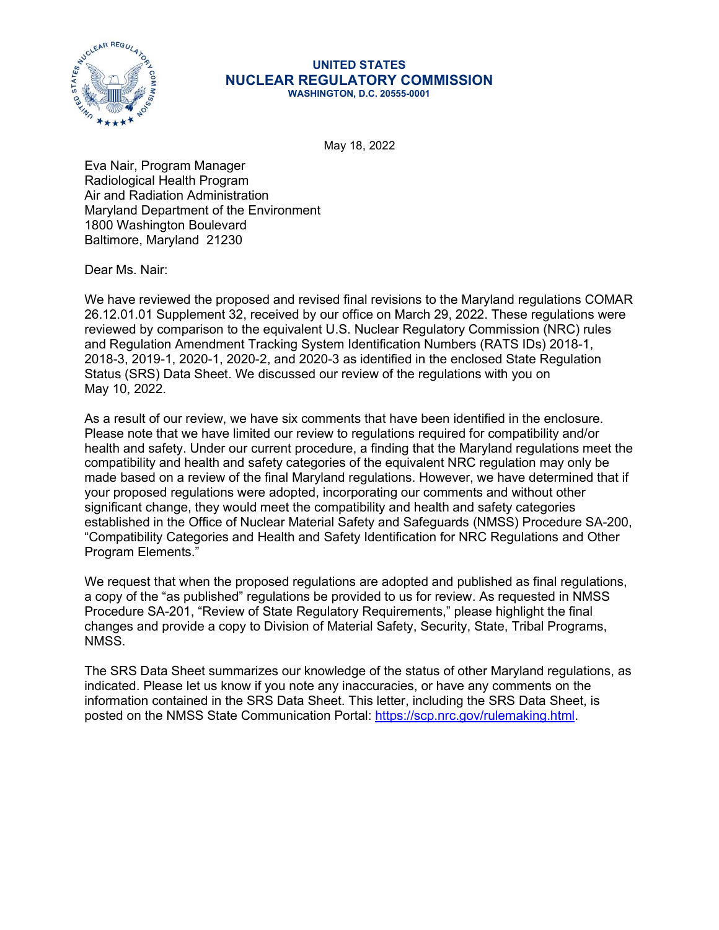

## UNITED STATES NUCLEAR REGULATORY COMMISSION WASHINGTON, D.C. 20555-0001

May 18, 2022

Eva Nair, Program Manager Radiological Health Program Air and Radiation Administration Maryland Department of the Environment 1800 Washington Boulevard Baltimore, Maryland 21230

Dear Ms. Nair:

We have reviewed the proposed and revised final revisions to the Maryland regulations COMAR 26.12.01.01 Supplement 32, received by our office on March 29, 2022. These regulations were reviewed by comparison to the equivalent U.S. Nuclear Regulatory Commission (NRC) rules and Regulation Amendment Tracking System Identification Numbers (RATS IDs) 2018-1, 2018-3, 2019-1, 2020-1, 2020-2, and 2020-3 as identified in the enclosed State Regulation Status (SRS) Data Sheet. We discussed our review of the regulations with you on May 10, 2022.

As a result of our review, we have six comments that have been identified in the enclosure. Please note that we have limited our review to regulations required for compatibility and/or health and safety. Under our current procedure, a finding that the Maryland regulations meet the compatibility and health and safety categories of the equivalent NRC regulation may only be made based on a review of the final Maryland regulations. However, we have determined that if your proposed regulations were adopted, incorporating our comments and without other significant change, they would meet the compatibility and health and safety categories established in the Office of Nuclear Material Safety and Safeguards (NMSS) Procedure SA-200, "Compatibility Categories and Health and Safety Identification for NRC Regulations and Other Program Elements."

We request that when the proposed regulations are adopted and published as final regulations, a copy of the "as published" regulations be provided to us for review. As requested in NMSS Procedure SA-201, "Review of State Regulatory Requirements," please highlight the final changes and provide a copy to Division of Material Safety, Security, State, Tribal Programs, NMSS.

The SRS Data Sheet summarizes our knowledge of the status of other Maryland regulations, as indicated. Please let us know if you note any inaccuracies, or have any comments on the information contained in the SRS Data Sheet. This letter, including the SRS Data Sheet, is posted on the NMSS State Communication Portal: https://scp.nrc.gov/rulemaking.html.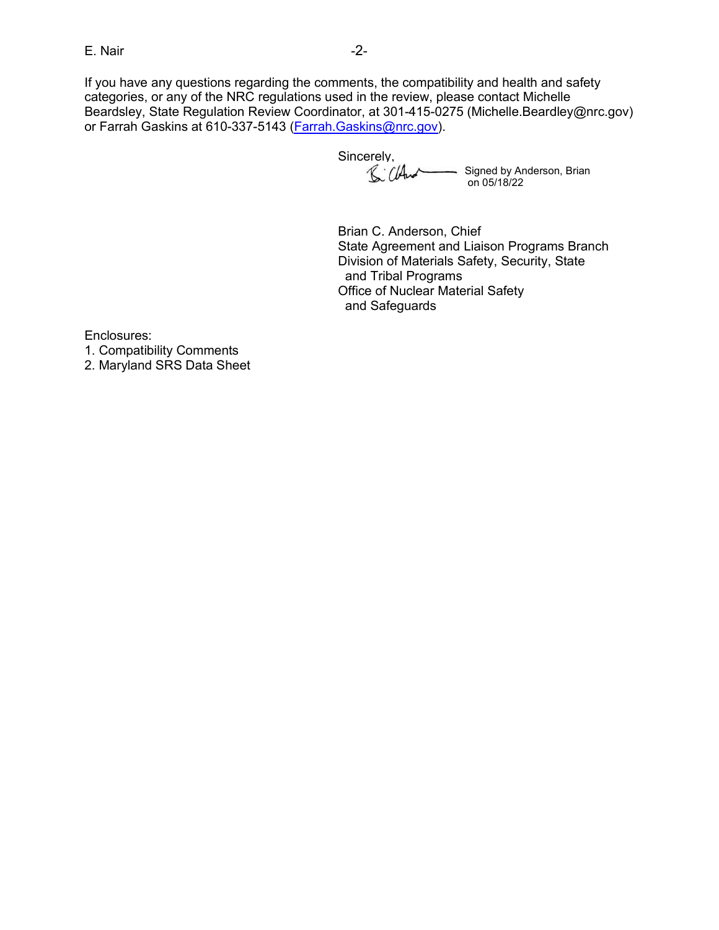E. Nair<br>If you have any questions regarding the comments, the compatibility and health and safety<br>categories, or any of the NRC regulations used in the review, please contact Michelle<br>Beardsley, State Regulation Review Coo If you have any questions regarding the comments, the compatibility and health and safety categories, or any of the NRC regulations used in the review, please contact Michelle Beardsley, State Regulation Review Coordinator, at 301-415-0275 (Michelle.Beardley@nrc.gov) or Farrah Gaskins at 610-337-5143 (Farrah.Gaskins@nrc.gov).

Sincerely, 8: Cland Signed by Anderson, Brian on 05/18/22

Brian C. Anderson, Chief State Agreement and Liaison Programs Branch Division of Materials Safety, Security, State and Tribal Programs Office of Nuclear Material Safety and Safeguards

Enclosures:

1. Compatibility Comments

2. Maryland SRS Data Sheet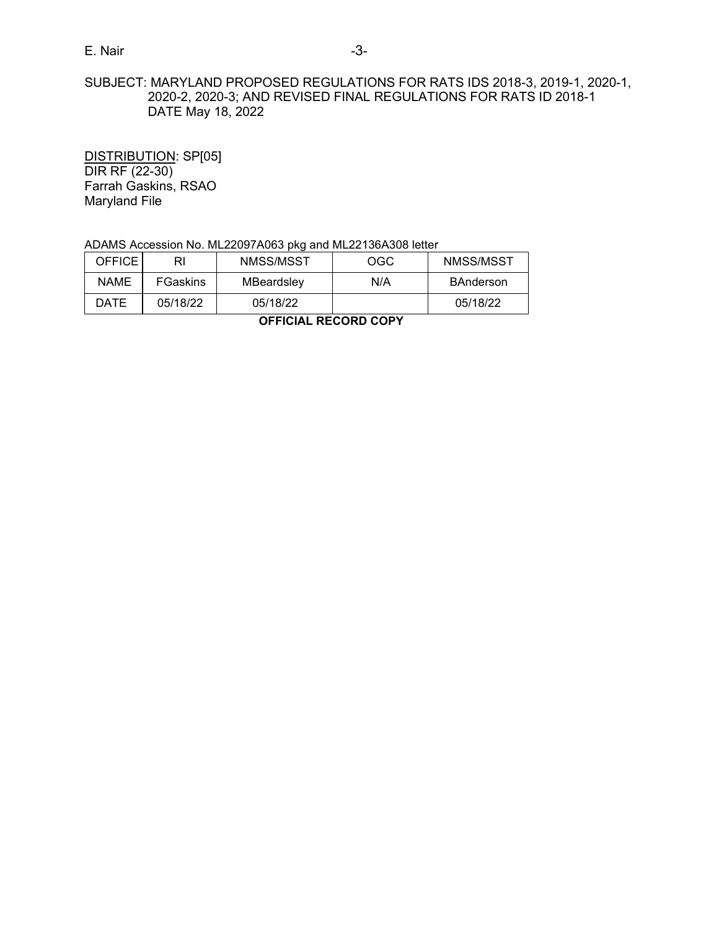# E. Nair -3- SUBJECT: MARYLAND PROPOSED REGULATIONS FOR RATS IDS 2018-3, 2019-1, 2020-1, 2020-2, 2020-3; AND REVISED FINAL REGULATIONS FOR RATS ID 2018-1 DATE May 18, 2022

| E. Nair                                                                                                                                                              |                                              |                                                            | $-3-$      |                  |  |  |  |  |
|----------------------------------------------------------------------------------------------------------------------------------------------------------------------|----------------------------------------------|------------------------------------------------------------|------------|------------------|--|--|--|--|
| SUBJECT: MARYLAND PROPOSED REGULATIONS FOR RATS IDS 2018-3, 2019-1, 2020-1,<br>2020-2, 2020-3; AND REVISED FINAL REGULATIONS FOR RATS ID 2018-1<br>DATE May 18, 2022 |                                              |                                                            |            |                  |  |  |  |  |
| DIR RF (22-30)<br>Maryland File                                                                                                                                      | DISTRIBUTION: SP[05]<br>Farrah Gaskins, RSAO |                                                            |            |                  |  |  |  |  |
|                                                                                                                                                                      |                                              | ADAMS Accession No. ML22097A063 pkg and ML22136A308 letter |            |                  |  |  |  |  |
| <b>OFFICE</b>                                                                                                                                                        | R <sub>l</sub>                               | NMSS/MSST                                                  | <b>OGC</b> | NMSS/MSST        |  |  |  |  |
| <b>NAME</b>                                                                                                                                                          | FGaskins                                     | MBeardsley                                                 | N/A        | <b>BAnderson</b> |  |  |  |  |
| <b>DATE</b>                                                                                                                                                          | 05/18/22                                     | 05/18/22                                                   |            | 05/18/22         |  |  |  |  |
|                                                                                                                                                                      |                                              | <b>OFFICIAL RECORD COPY</b>                                |            |                  |  |  |  |  |
|                                                                                                                                                                      |                                              |                                                            |            |                  |  |  |  |  |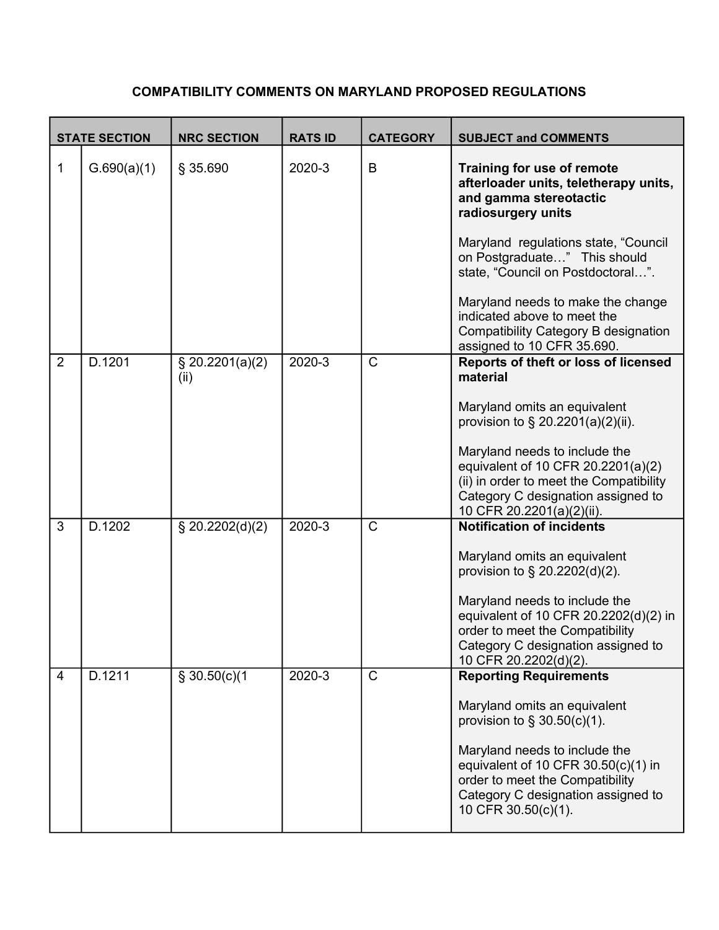# COMPATIBILITY COMMENTS ON MARYLAND PROPOSED REGULATIONS

|                | <b>STATE SECTION</b> | <b>NRC SECTION</b>      | <b>RATS ID</b> | <b>CATEGORY</b> | <b>COMPATIBILITY COMMENTS ON MARYLAND PROPOSED REGULATIONS</b><br><b>SUBJECT and COMMENTS</b>                                                                                                              |
|----------------|----------------------|-------------------------|----------------|-----------------|------------------------------------------------------------------------------------------------------------------------------------------------------------------------------------------------------------|
| 1              | G.690(a)(1)          | § 35.690                | 2020-3         | В               | Training for use of remote<br>afterloader units, teletherapy units,<br>and gamma stereotactic<br>radiosurgery units                                                                                        |
|                |                      |                         |                |                 | Maryland regulations state, "Council<br>on Postgraduate" This should<br>state, "Council on Postdoctoral".                                                                                                  |
|                |                      |                         |                |                 | Maryland needs to make the change<br>indicated above to meet the<br><b>Compatibility Category B designation</b><br>assigned to 10 CFR 35.690.                                                              |
| $\overline{2}$ | D.1201               | \$20.2201(a)(2)<br>(ii) | 2020-3         | $\mathsf{C}$    | Reports of theft or loss of licensed<br>material<br>Maryland omits an equivalent<br>provision to $\S 20.2201(a)(2)(ii)$ .                                                                                  |
|                |                      |                         |                |                 | Maryland needs to include the<br>equivalent of 10 CFR 20.2201(a)(2)<br>(ii) in order to meet the Compatibility<br>Category C designation assigned to<br>10 CFR 20.2201(a)(2)(ii).                          |
| 3              | D.1202               | \$20.2202(d)(2)         | 2020-3         | $\mathsf{C}$    | <b>Notification of incidents</b><br>Maryland omits an equivalent<br>provision to § 20.2202(d)(2).                                                                                                          |
|                |                      |                         |                |                 | Maryland needs to include the<br>equivalent of 10 CFR 20.2202(d)(2) in<br>order to meet the Compatibility<br>Category C designation assigned to<br>10 CFR 20.2202(d)(2).                                   |
| 4              | D.1211               | \$30.50(c)(1)           | 2020-3         | $\mathsf{C}$    | <b>Reporting Requirements</b><br>Maryland omits an equivalent<br>provision to $\S$ 30.50(c)(1).<br>Maryland needs to include the<br>equivalent of 10 CFR 30.50(c)(1) in<br>order to meet the Compatibility |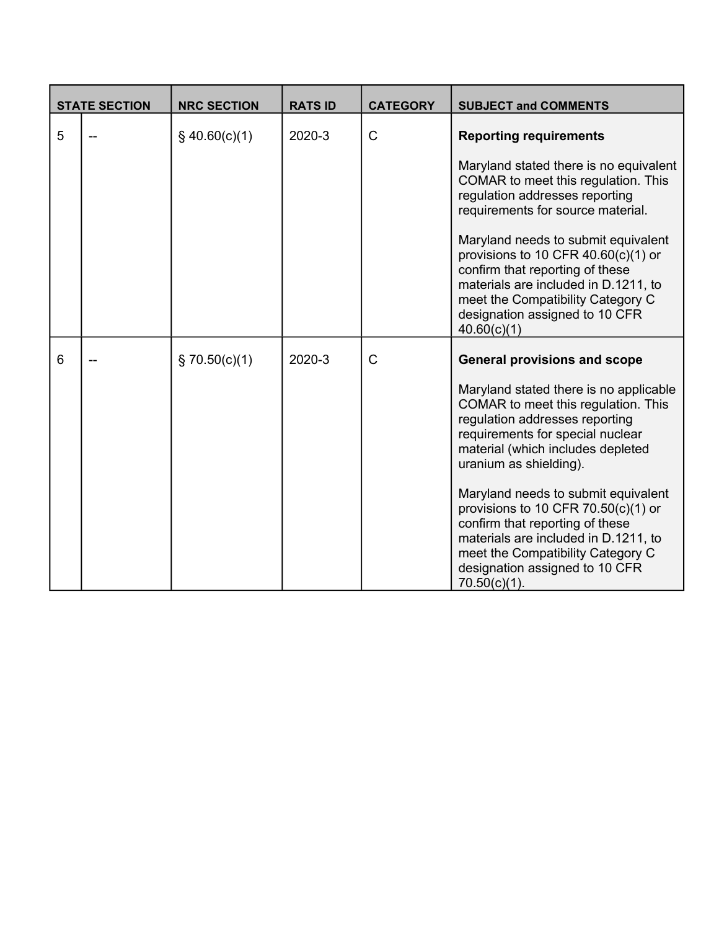|   | <b>STATE SECTION</b> | <b>NRC SECTION</b> | <b>RATS ID</b> | <b>CATEGORY</b> | <b>SUBJECT and COMMENTS</b>                                                                                                                                                                                                                                                                                                                                                                                                                                                                                    |
|---|----------------------|--------------------|----------------|-----------------|----------------------------------------------------------------------------------------------------------------------------------------------------------------------------------------------------------------------------------------------------------------------------------------------------------------------------------------------------------------------------------------------------------------------------------------------------------------------------------------------------------------|
| 5 |                      | $§$ 40.60(c)(1)    | 2020-3         | $\mathsf{C}$    | <b>Reporting requirements</b><br>Maryland stated there is no equivalent<br>COMAR to meet this regulation. This<br>regulation addresses reporting<br>requirements for source material.<br>Maryland needs to submit equivalent<br>provisions to 10 CFR $40.60(c)(1)$ or<br>confirm that reporting of these<br>materials are included in D.1211, to<br>meet the Compatibility Category C<br>designation assigned to 10 CFR<br>40.60(c)(1)                                                                         |
| 6 |                      | $\S$ 70.50(c)(1)   | 2020-3         | C               | <b>General provisions and scope</b><br>Maryland stated there is no applicable<br>COMAR to meet this regulation. This<br>regulation addresses reporting<br>requirements for special nuclear<br>material (which includes depleted<br>uranium as shielding).<br>Maryland needs to submit equivalent<br>provisions to 10 CFR $70.50(c)(1)$ or<br>confirm that reporting of these<br>materials are included in D.1211, to<br>meet the Compatibility Category C<br>designation assigned to 10 CFR<br>$70.50(c)(1)$ . |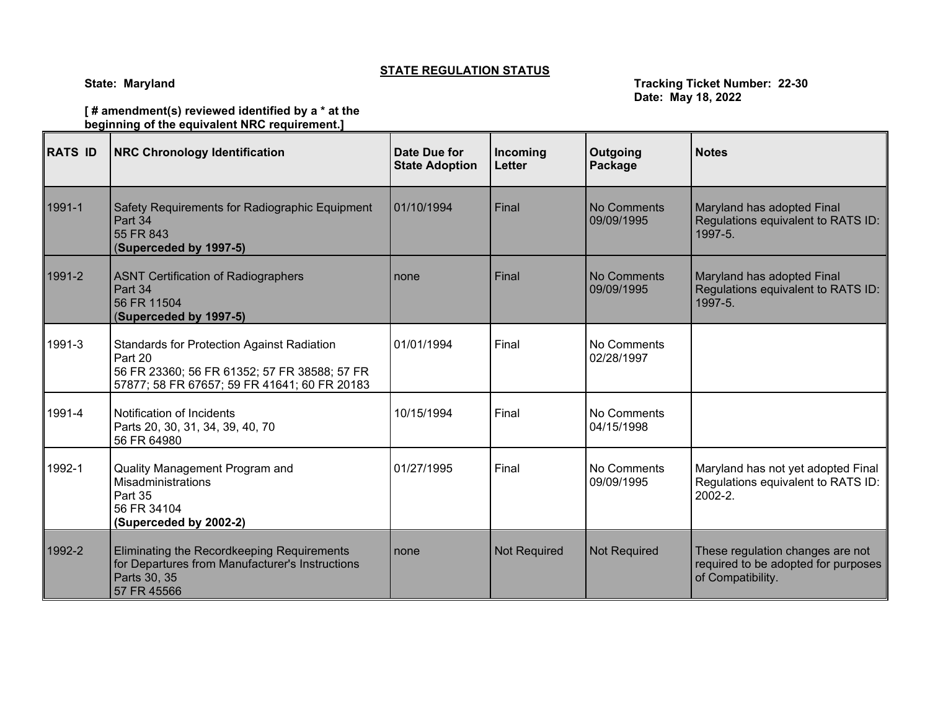# **STATE REGULATION STATUS**

**State: Maryland Tracking Ticket Number: 22-30 Date: May 18, 2022**

## **[ # amendment(s) reviewed identified by a \* at the beginning of the equivalent NRC requirement.]**

| <b>RATS ID</b> | <b>NRC Chronology Identification</b>                                                                                                                         | Date Due for<br><b>State Adoption</b> | Incoming<br>Letter  | Outgoing<br>Package       | <b>Notes</b>                                                                                 |
|----------------|--------------------------------------------------------------------------------------------------------------------------------------------------------------|---------------------------------------|---------------------|---------------------------|----------------------------------------------------------------------------------------------|
| 1991-1         | Safety Requirements for Radiographic Equipment<br>Part 34<br>55 FR 843<br>(Superceded by 1997-5)                                                             | 01/10/1994                            | Final               | No Comments<br>09/09/1995 | Maryland has adopted Final<br>Regulations equivalent to RATS ID:<br>1997-5.                  |
| 1991-2         | <b>ASNT Certification of Radiographers</b><br>Part 34<br>56 FR 11504<br>(Superceded by 1997-5)                                                               | none                                  | Final               | No Comments<br>09/09/1995 | Maryland has adopted Final<br>Regulations equivalent to RATS ID:<br>1997-5.                  |
| 1991-3         | <b>Standards for Protection Against Radiation</b><br>Part 20<br>56 FR 23360; 56 FR 61352; 57 FR 38588; 57 FR<br>57877; 58 FR 67657; 59 FR 41641; 60 FR 20183 | 01/01/1994                            | Final               | No Comments<br>02/28/1997 |                                                                                              |
| 1991-4         | Notification of Incidents<br>Parts 20, 30, 31, 34, 39, 40, 70<br>56 FR 64980                                                                                 | 10/15/1994                            | Final               | No Comments<br>04/15/1998 |                                                                                              |
| 1992-1         | Quality Management Program and<br>Misadministrations<br>Part 35<br>56 FR 34104<br>(Superceded by 2002-2)                                                     | 01/27/1995                            | Final               | No Comments<br>09/09/1995 | Maryland has not yet adopted Final<br>Regulations equivalent to RATS ID:<br>$2002 - 2.$      |
| 1992-2         | Eliminating the Recordkeeping Requirements<br>for Departures from Manufacturer's Instructions<br>Parts 30, 35<br>57 FR 45566                                 | none                                  | <b>Not Required</b> | <b>Not Required</b>       | These regulation changes are not<br>required to be adopted for purposes<br>of Compatibility. |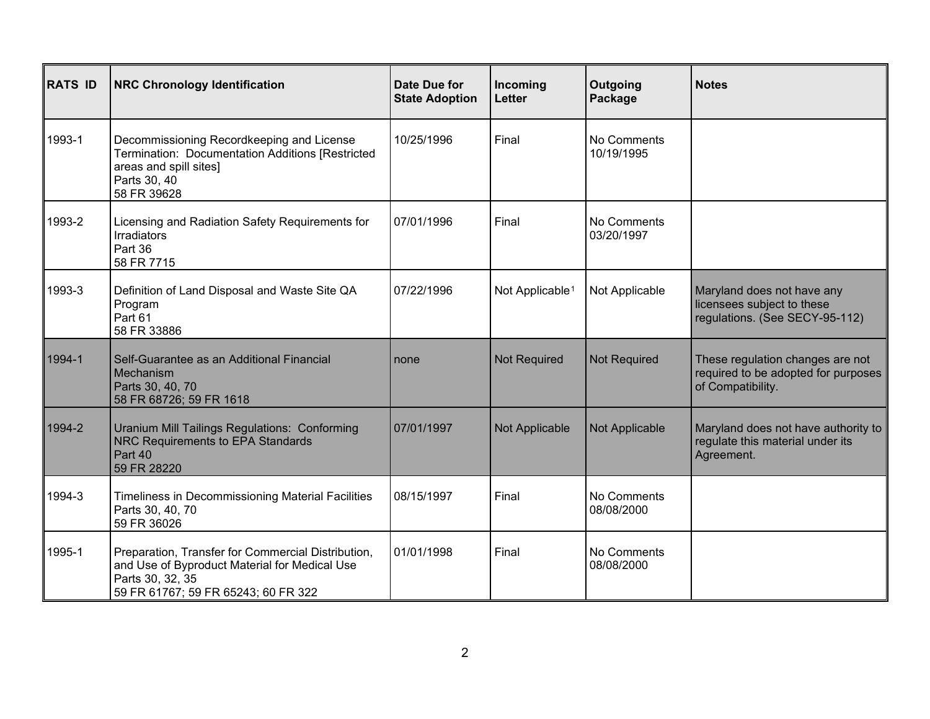| <b>RATS ID</b> | <b>NRC Chronology Identification</b>                                                                                                                           | Date Due for<br><b>State Adoption</b> | Incoming<br><b>Letter</b>   | Outgoing<br>Package       | <b>Notes</b>                                                                                 |
|----------------|----------------------------------------------------------------------------------------------------------------------------------------------------------------|---------------------------------------|-----------------------------|---------------------------|----------------------------------------------------------------------------------------------|
| 1993-1         | Decommissioning Recordkeeping and License<br>Termination: Documentation Additions [Restricted<br>areas and spill sites]<br>Parts 30, 40<br>58 FR 39628         | 10/25/1996                            | Final                       | No Comments<br>10/19/1995 |                                                                                              |
| 1993-2         | Licensing and Radiation Safety Requirements for<br><b>Irradiators</b><br>Part 36<br>58 FR 7715                                                                 | 07/01/1996                            | Final                       | No Comments<br>03/20/1997 |                                                                                              |
| 1993-3         | Definition of Land Disposal and Waste Site QA<br>Program<br>Part 61<br>58 FR 33886                                                                             | 07/22/1996                            | Not Applicable <sup>1</sup> | Not Applicable            | Maryland does not have any<br>licensees subject to these<br>regulations. (See SECY-95-112)   |
| 1994-1         | Self-Guarantee as an Additional Financial<br>Mechanism<br>Parts 30, 40, 70<br>58 FR 68726; 59 FR 1618                                                          | none                                  | <b>Not Required</b>         | <b>Not Required</b>       | These regulation changes are not<br>required to be adopted for purposes<br>of Compatibility. |
| 1994-2         | Uranium Mill Tailings Regulations: Conforming<br><b>NRC Requirements to EPA Standards</b><br>Part 40<br>59 FR 28220                                            | 07/01/1997                            | Not Applicable              | Not Applicable            | Maryland does not have authority to<br>regulate this material under its<br>Agreement.        |
| 1994-3         | Timeliness in Decommissioning Material Facilities<br>Parts 30, 40, 70<br>59 FR 36026                                                                           | 08/15/1997                            | Final                       | No Comments<br>08/08/2000 |                                                                                              |
| 1995-1         | Preparation, Transfer for Commercial Distribution,<br>and Use of Byproduct Material for Medical Use<br>Parts 30, 32, 35<br>59 FR 61767; 59 FR 65243; 60 FR 322 | 01/01/1998                            | Final                       | No Comments<br>08/08/2000 |                                                                                              |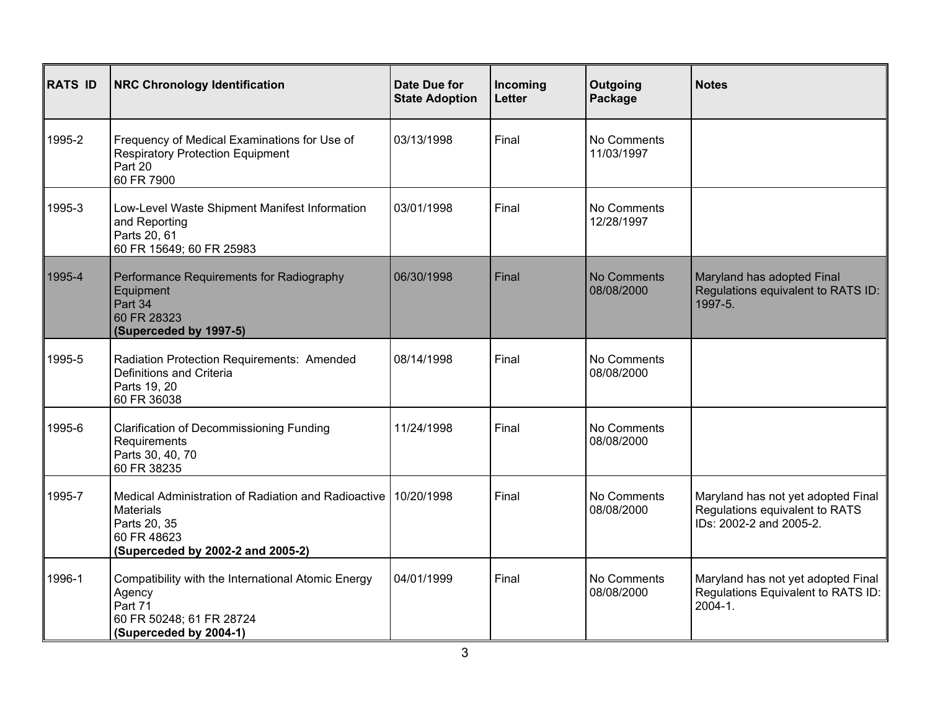| <b>RATS ID</b> | <b>NRC Chronology Identification</b>                                                                                                        | <b>Date Due for</b><br><b>State Adoption</b> | Incoming<br>Letter | Outgoing<br>Package       | <b>Notes</b>                                                                                    |
|----------------|---------------------------------------------------------------------------------------------------------------------------------------------|----------------------------------------------|--------------------|---------------------------|-------------------------------------------------------------------------------------------------|
| 1995-2         | Frequency of Medical Examinations for Use of<br><b>Respiratory Protection Equipment</b><br>Part 20<br>60 FR 7900                            | 03/13/1998                                   | Final              | No Comments<br>11/03/1997 |                                                                                                 |
| 1995-3         | Low-Level Waste Shipment Manifest Information<br>and Reporting<br>Parts 20, 61<br>60 FR 15649; 60 FR 25983                                  | 03/01/1998                                   | Final              | No Comments<br>12/28/1997 |                                                                                                 |
| 1995-4         | Performance Requirements for Radiography<br>Equipment<br>Part 34<br>60 FR 28323<br>(Superceded by 1997-5)                                   | 06/30/1998                                   | Final              | No Comments<br>08/08/2000 | Maryland has adopted Final<br>Regulations equivalent to RATS ID:<br>1997-5.                     |
| 1995-5         | Radiation Protection Requirements: Amended<br>Definitions and Criteria<br>Parts 19, 20<br>60 FR 36038                                       | 08/14/1998                                   | Final              | No Comments<br>08/08/2000 |                                                                                                 |
| 1995-6         | <b>Clarification of Decommissioning Funding</b><br>Requirements<br>Parts 30, 40, 70<br>60 FR 38235                                          | 11/24/1998                                   | Final              | No Comments<br>08/08/2000 |                                                                                                 |
| 1995-7         | Medical Administration of Radiation and Radioactive<br><b>Materials</b><br>Parts 20, 35<br>60 FR 48623<br>(Superceded by 2002-2 and 2005-2) | 10/20/1998                                   | Final              | No Comments<br>08/08/2000 | Maryland has not yet adopted Final<br>Regulations equivalent to RATS<br>IDs: 2002-2 and 2005-2. |
| 1996-1         | Compatibility with the International Atomic Energy<br>Agency<br>Part 71<br>60 FR 50248; 61 FR 28724<br>(Superceded by 2004-1)               | 04/01/1999                                   | Final              | No Comments<br>08/08/2000 | Maryland has not yet adopted Final<br>Regulations Equivalent to RATS ID:<br>2004-1.             |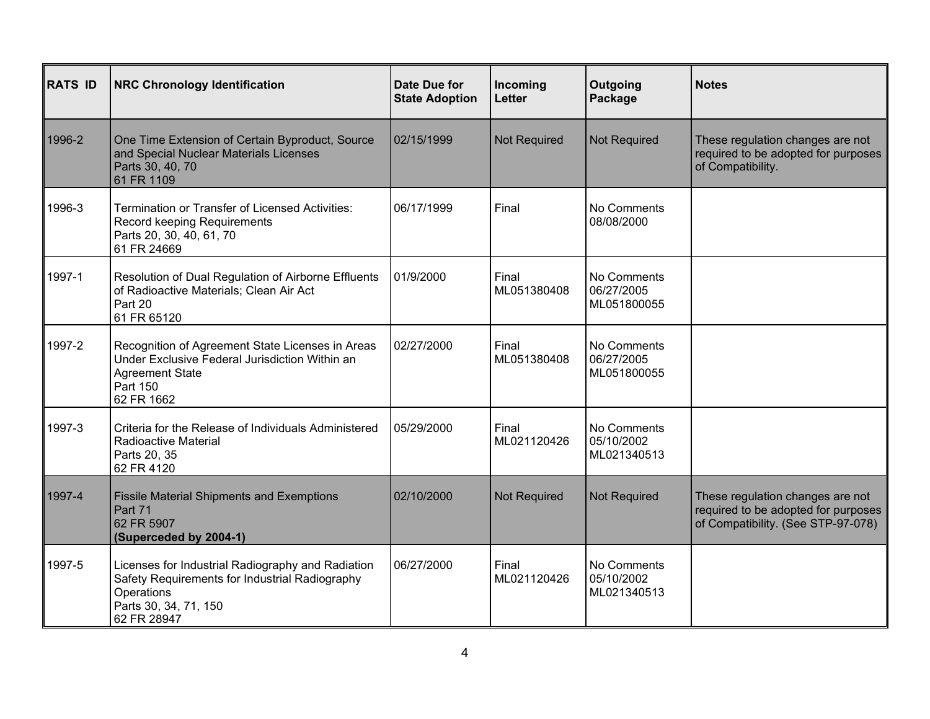| <b>RATS ID</b> | <b>NRC Chronology Identification</b>                                                                                                                      | Date Due for<br><b>State Adoption</b> | Incoming<br>Letter   | Outgoing<br>Package                      | <b>Notes</b>                                                                                                  |
|----------------|-----------------------------------------------------------------------------------------------------------------------------------------------------------|---------------------------------------|----------------------|------------------------------------------|---------------------------------------------------------------------------------------------------------------|
| 1996-2         | One Time Extension of Certain Byproduct, Source<br>and Special Nuclear Materials Licenses<br>Parts 30, 40, 70<br>61 FR 1109                               | 02/15/1999                            | <b>Not Required</b>  | <b>Not Required</b>                      | These regulation changes are not<br>required to be adopted for purposes<br>of Compatibility.                  |
| 1996-3         | <b>Termination or Transfer of Licensed Activities:</b><br>Record keeping Requirements<br>Parts 20, 30, 40, 61, 70<br>61 FR 24669                          | 06/17/1999                            | Final                | No Comments<br>08/08/2000                |                                                                                                               |
| 1997-1         | Resolution of Dual Regulation of Airborne Effluents<br>of Radioactive Materials; Clean Air Act<br>Part 20<br>61 FR 65120                                  | 01/9/2000                             | Final<br>ML051380408 | No Comments<br>06/27/2005<br>ML051800055 |                                                                                                               |
| 1997-2         | Recognition of Agreement State Licenses in Areas<br>Under Exclusive Federal Jurisdiction Within an<br><b>Agreement State</b><br>Part 150<br>62 FR 1662    | 02/27/2000                            | Final<br>ML051380408 | No Comments<br>06/27/2005<br>ML051800055 |                                                                                                               |
| 1997-3         | Criteria for the Release of Individuals Administered<br>Radioactive Material<br>Parts 20, 35<br>62 FR 4120                                                | 05/29/2000                            | Final<br>ML021120426 | No Comments<br>05/10/2002<br>ML021340513 |                                                                                                               |
| 1997-4         | <b>Fissile Material Shipments and Exemptions</b><br>Part 71<br>62 FR 5907<br>(Superceded by 2004-1)                                                       | 02/10/2000                            | <b>Not Required</b>  | <b>Not Required</b>                      | These regulation changes are not<br>required to be adopted for purposes<br>of Compatibility. (See STP-97-078) |
| 1997-5         | Licenses for Industrial Radiography and Radiation<br>Safety Requirements for Industrial Radiography<br>Operations<br>Parts 30, 34, 71, 150<br>62 FR 28947 | 06/27/2000                            | Final<br>ML021120426 | No Comments<br>05/10/2002<br>ML021340513 |                                                                                                               |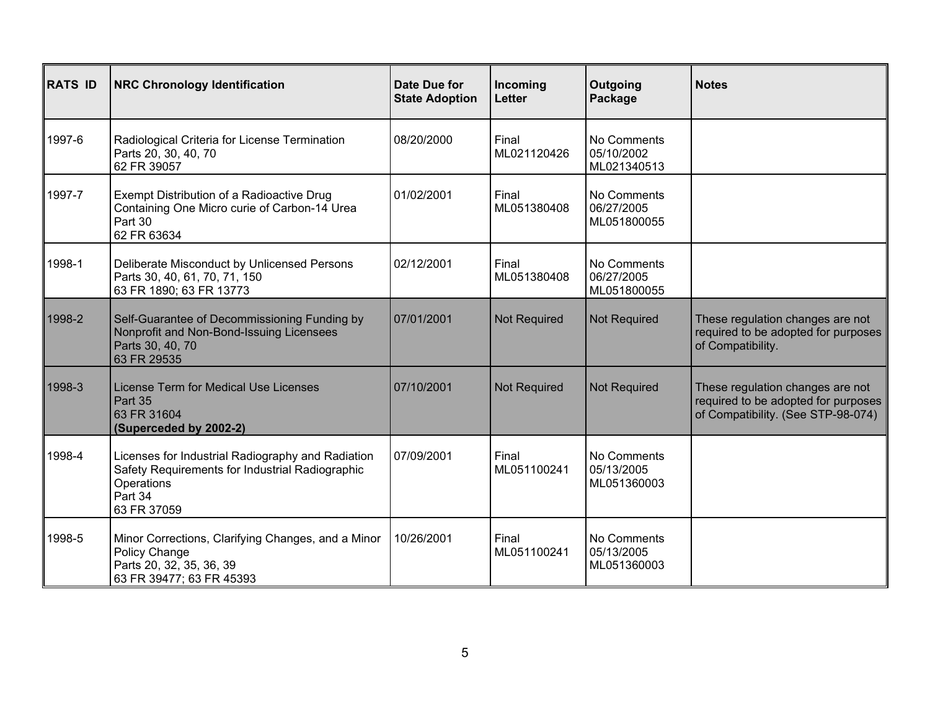| <b>RATS ID</b> | <b>NRC Chronology Identification</b>                                                                                                         | Date Due for<br><b>State Adoption</b> | Incoming<br><b>Letter</b> | Outgoing<br>Package                      | <b>Notes</b>                                                                                                  |
|----------------|----------------------------------------------------------------------------------------------------------------------------------------------|---------------------------------------|---------------------------|------------------------------------------|---------------------------------------------------------------------------------------------------------------|
| 1997-6         | Radiological Criteria for License Termination<br>Parts 20, 30, 40, 70<br>62 FR 39057                                                         | 08/20/2000                            | Final<br>ML021120426      | No Comments<br>05/10/2002<br>ML021340513 |                                                                                                               |
| 1997-7         | Exempt Distribution of a Radioactive Drug<br>Containing One Micro curie of Carbon-14 Urea<br>Part 30<br>62 FR 63634                          | 01/02/2001                            | Final<br>ML051380408      | No Comments<br>06/27/2005<br>ML051800055 |                                                                                                               |
| 1998-1         | Deliberate Misconduct by Unlicensed Persons<br>Parts 30, 40, 61, 70, 71, 150<br>63 FR 1890; 63 FR 13773                                      | 02/12/2001                            | Final<br>ML051380408      | No Comments<br>06/27/2005<br>ML051800055 |                                                                                                               |
| 1998-2         | Self-Guarantee of Decommissioning Funding by<br>Nonprofit and Non-Bond-Issuing Licensees<br>Parts 30, 40, 70<br>63 FR 29535                  | 07/01/2001                            | <b>Not Required</b>       | <b>Not Required</b>                      | These regulation changes are not<br>required to be adopted for purposes<br>of Compatibility.                  |
| 1998-3         | License Term for Medical Use Licenses<br>Part 35<br>63 FR 31604<br>(Superceded by 2002-2)                                                    | 07/10/2001                            | <b>Not Required</b>       | <b>Not Required</b>                      | These regulation changes are not<br>required to be adopted for purposes<br>of Compatibility. (See STP-98-074) |
| 1998-4         | Licenses for Industrial Radiography and Radiation<br>Safety Requirements for Industrial Radiographic<br>Operations<br>Part 34<br>63 FR 37059 | 07/09/2001                            | Final<br>ML051100241      | No Comments<br>05/13/2005<br>ML051360003 |                                                                                                               |
| 1998-5         | Minor Corrections, Clarifying Changes, and a Minor<br>Policy Change<br>Parts 20, 32, 35, 36, 39<br>63 FR 39477; 63 FR 45393                  | 10/26/2001                            | Final<br>ML051100241      | No Comments<br>05/13/2005<br>ML051360003 |                                                                                                               |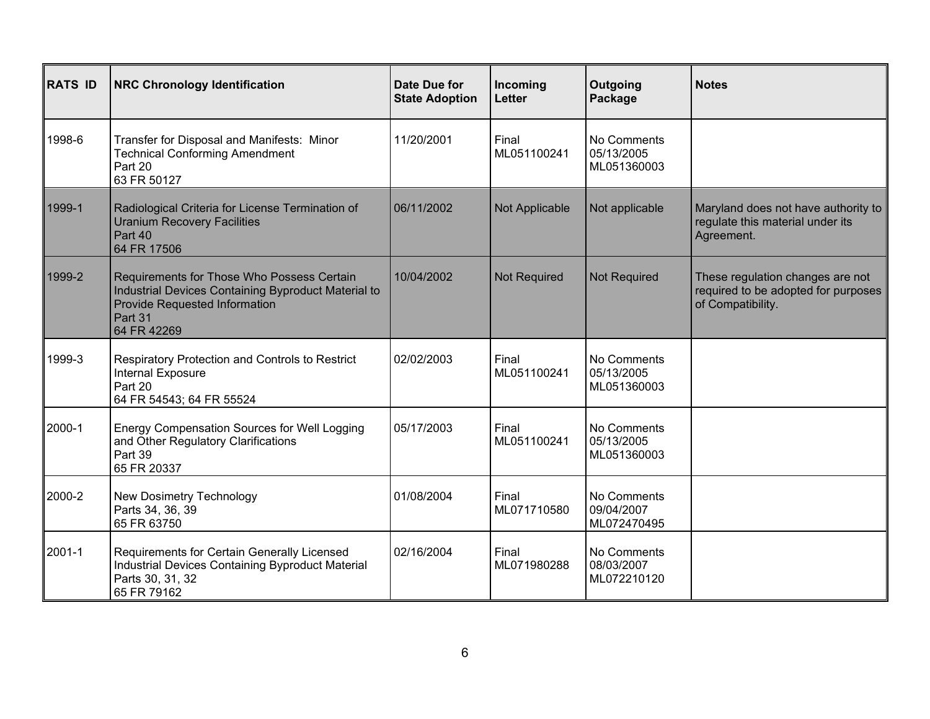| <b>RATS ID</b> | <b>NRC Chronology Identification</b>                                                                                                                         | Date Due for<br><b>State Adoption</b> | Incoming<br><b>Letter</b> | Outgoing<br>Package                      | <b>Notes</b>                                                                                 |
|----------------|--------------------------------------------------------------------------------------------------------------------------------------------------------------|---------------------------------------|---------------------------|------------------------------------------|----------------------------------------------------------------------------------------------|
| 1998-6         | Transfer for Disposal and Manifests: Minor<br><b>Technical Conforming Amendment</b><br>Part 20<br>63 FR 50127                                                | 11/20/2001                            | Final<br>ML051100241      | No Comments<br>05/13/2005<br>ML051360003 |                                                                                              |
| 1999-1         | Radiological Criteria for License Termination of<br><b>Uranium Recovery Facilities</b><br>Part 40<br>64 FR 17506                                             | 06/11/2002                            | Not Applicable            | Not applicable                           | Maryland does not have authority to<br>regulate this material under its<br>Agreement.        |
| 1999-2         | Requirements for Those Who Possess Certain<br>Industrial Devices Containing Byproduct Material to<br>Provide Requested Information<br>Part 31<br>64 FR 42269 | 10/04/2002                            | Not Required              | <b>Not Required</b>                      | These regulation changes are not<br>required to be adopted for purposes<br>of Compatibility. |
| 1999-3         | Respiratory Protection and Controls to Restrict<br>Internal Exposure<br>Part 20<br>64 FR 54543; 64 FR 55524                                                  | 02/02/2003                            | Final<br>ML051100241      | No Comments<br>05/13/2005<br>ML051360003 |                                                                                              |
| 2000-1         | Energy Compensation Sources for Well Logging<br>and Other Regulatory Clarifications<br>Part 39<br>65 FR 20337                                                | 05/17/2003                            | Final<br>ML051100241      | No Comments<br>05/13/2005<br>ML051360003 |                                                                                              |
| 2000-2         | <b>New Dosimetry Technology</b><br>Parts 34, 36, 39<br>65 FR 63750                                                                                           | 01/08/2004                            | Final<br>ML071710580      | No Comments<br>09/04/2007<br>ML072470495 |                                                                                              |
| 2001-1         | Requirements for Certain Generally Licensed<br>Industrial Devices Containing Byproduct Material<br>Parts 30, 31, 32<br>65 FR 79162                           | 02/16/2004                            | Final<br>ML071980288      | No Comments<br>08/03/2007<br>ML072210120 |                                                                                              |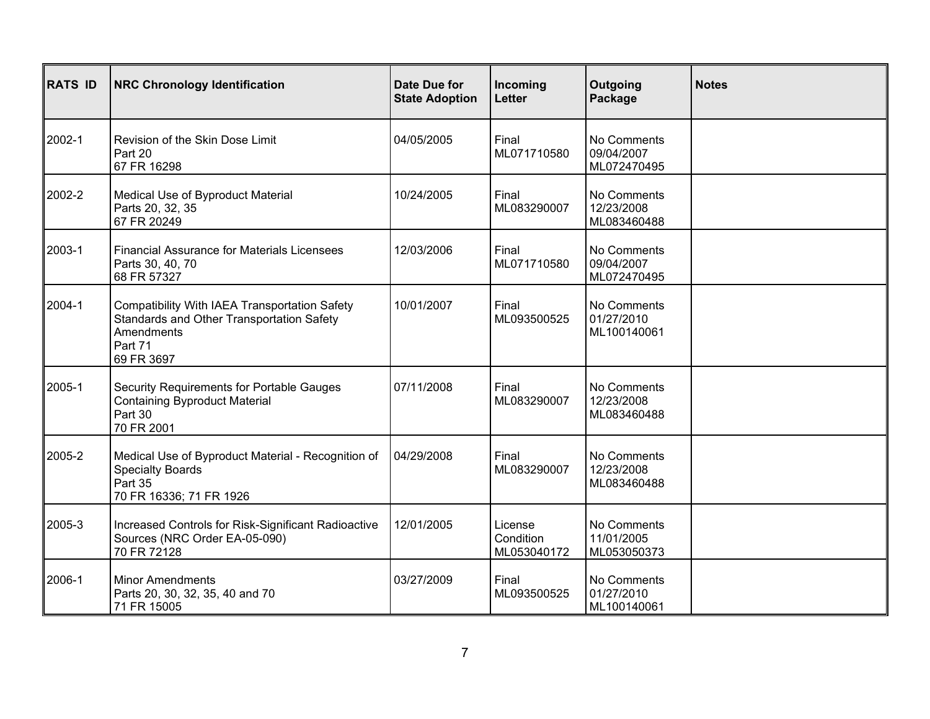| <b>RATS ID</b> | <b>NRC Chronology Identification</b>                                                                                              | <b>Date Due for</b><br><b>State Adoption</b> | Incoming<br>Letter                  | Outgoing<br>Package                      | <b>Notes</b> |
|----------------|-----------------------------------------------------------------------------------------------------------------------------------|----------------------------------------------|-------------------------------------|------------------------------------------|--------------|
| 2002-1         | Revision of the Skin Dose Limit<br>Part 20<br>67 FR 16298                                                                         | 04/05/2005                                   | Final<br>ML071710580                | No Comments<br>09/04/2007<br>ML072470495 |              |
| 2002-2         | Medical Use of Byproduct Material<br>Parts 20, 32, 35<br>67 FR 20249                                                              | 10/24/2005                                   | Final<br>ML083290007                | No Comments<br>12/23/2008<br>ML083460488 |              |
| 2003-1         | <b>Financial Assurance for Materials Licensees</b><br>Parts 30, 40, 70<br>68 FR 57327                                             | 12/03/2006                                   | Final<br>ML071710580                | No Comments<br>09/04/2007<br>ML072470495 |              |
| 2004-1         | Compatibility With IAEA Transportation Safety<br>Standards and Other Transportation Safety<br>Amendments<br>Part 71<br>69 FR 3697 | 10/01/2007                                   | Final<br>ML093500525                | No Comments<br>01/27/2010<br>ML100140061 |              |
| 2005-1         | Security Requirements for Portable Gauges<br><b>Containing Byproduct Material</b><br>Part 30<br>70 FR 2001                        | 07/11/2008                                   | Final<br>ML083290007                | No Comments<br>12/23/2008<br>ML083460488 |              |
| 2005-2         | Medical Use of Byproduct Material - Recognition of<br><b>Specialty Boards</b><br>Part 35<br>70 FR 16336; 71 FR 1926               | 04/29/2008                                   | Final<br>ML083290007                | No Comments<br>12/23/2008<br>ML083460488 |              |
| 2005-3         | Increased Controls for Risk-Significant Radioactive<br>Sources (NRC Order EA-05-090)<br>70 FR 72128                               | 12/01/2005                                   | License<br>Condition<br>ML053040172 | No Comments<br>11/01/2005<br>ML053050373 |              |
| 2006-1         | <b>Minor Amendments</b><br>Parts 20, 30, 32, 35, 40 and 70<br>71 FR 15005                                                         | 03/27/2009                                   | Final<br>ML093500525                | No Comments<br>01/27/2010<br>ML100140061 |              |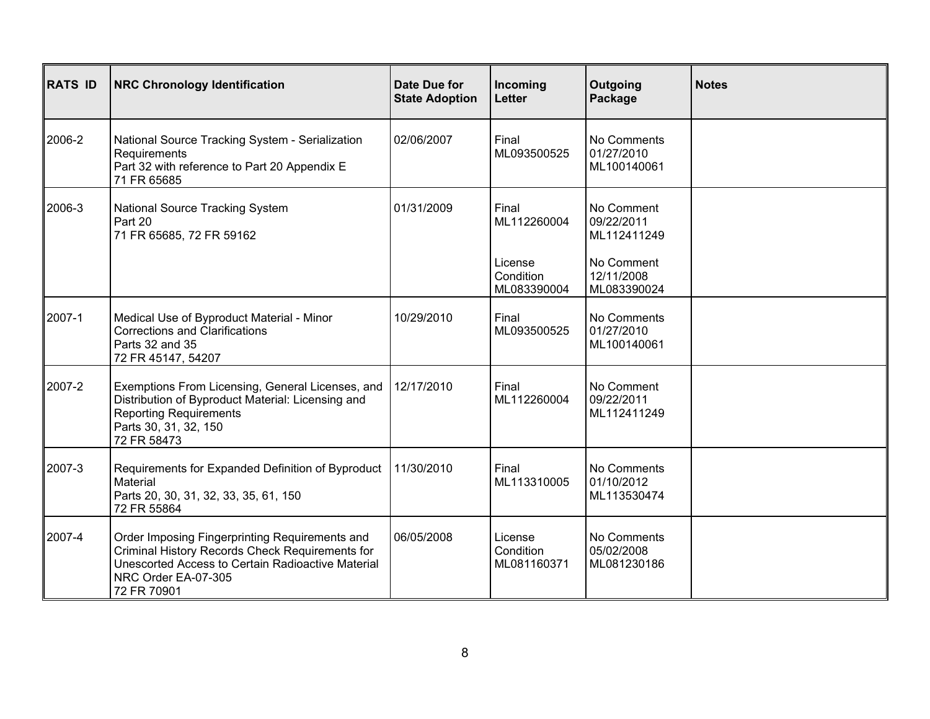| <b>RATS ID</b> | <b>NRC Chronology Identification</b>                                                                                                                                                         | Date Due for<br><b>State Adoption</b> | Incoming<br>Letter                                          | Outgoing<br>Package                                                                | <b>Notes</b> |
|----------------|----------------------------------------------------------------------------------------------------------------------------------------------------------------------------------------------|---------------------------------------|-------------------------------------------------------------|------------------------------------------------------------------------------------|--------------|
| 2006-2         | National Source Tracking System - Serialization<br>Requirements<br>Part 32 with reference to Part 20 Appendix E<br>71 FR 65685                                                               | 02/06/2007                            | Final<br>ML093500525                                        | No Comments<br>01/27/2010<br>ML100140061                                           |              |
| 2006-3         | <b>National Source Tracking System</b><br>Part 20<br>71 FR 65685, 72 FR 59162                                                                                                                | 01/31/2009                            | Final<br>ML112260004<br>License<br>Condition<br>ML083390004 | No Comment<br>09/22/2011<br>ML112411249<br>No Comment<br>12/11/2008<br>ML083390024 |              |
| 2007-1         | Medical Use of Byproduct Material - Minor<br><b>Corrections and Clarifications</b><br>Parts 32 and 35<br>72 FR 45147, 54207                                                                  | 10/29/2010                            | Final<br>ML093500525                                        | No Comments<br>01/27/2010<br>ML100140061                                           |              |
| 2007-2         | Exemptions From Licensing, General Licenses, and<br>Distribution of Byproduct Material: Licensing and<br><b>Reporting Requirements</b><br>Parts 30, 31, 32, 150<br>72 FR 58473               | 12/17/2010                            | Final<br>ML112260004                                        | No Comment<br>09/22/2011<br>ML112411249                                            |              |
| 2007-3         | Requirements for Expanded Definition of Byproduct<br>Material<br>Parts 20, 30, 31, 32, 33, 35, 61, 150<br>72 FR 55864                                                                        | 11/30/2010                            | Final<br>ML113310005                                        | No Comments<br>01/10/2012<br>ML113530474                                           |              |
| 2007-4         | Order Imposing Fingerprinting Requirements and<br>Criminal History Records Check Requirements for<br>Unescorted Access to Certain Radioactive Material<br>NRC Order EA-07-305<br>72 FR 70901 | 06/05/2008                            | License<br>Condition<br>ML081160371                         | No Comments<br>05/02/2008<br>ML081230186                                           |              |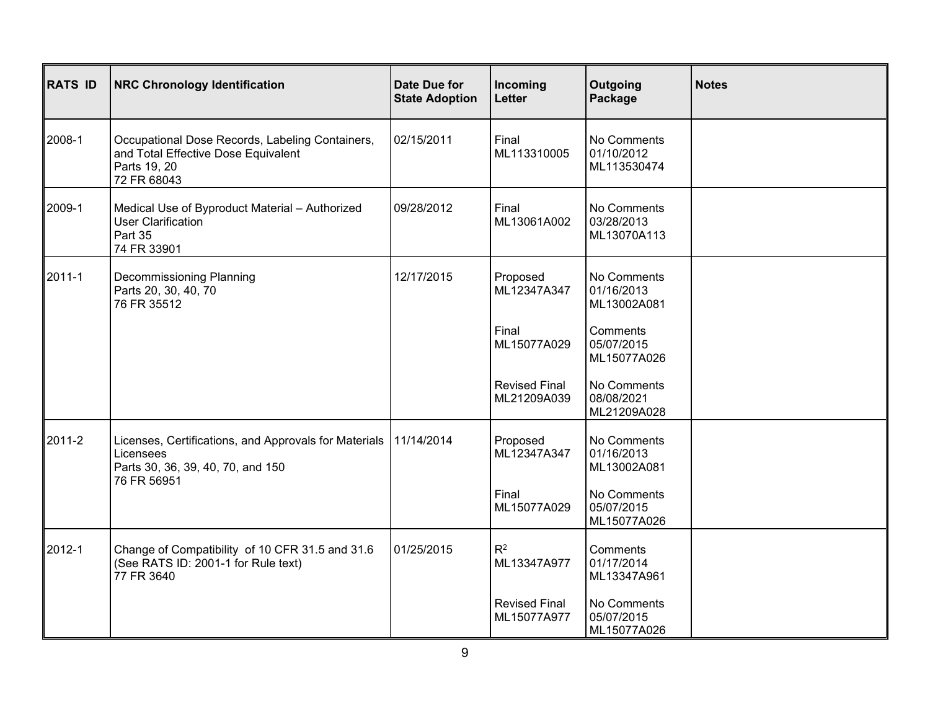| <b>RATS ID</b> | <b>NRC Chronology Identification</b>                                                                                   | Date Due for<br><b>State Adoption</b> | Incoming<br><b>Letter</b>           | Outgoing<br>Package                      | <b>Notes</b> |
|----------------|------------------------------------------------------------------------------------------------------------------------|---------------------------------------|-------------------------------------|------------------------------------------|--------------|
| 2008-1         | Occupational Dose Records, Labeling Containers,<br>and Total Effective Dose Equivalent<br>Parts 19, 20<br>72 FR 68043  | 02/15/2011                            | Final<br>ML113310005                | No Comments<br>01/10/2012<br>ML113530474 |              |
| 2009-1         | Medical Use of Byproduct Material - Authorized<br><b>User Clarification</b><br>Part 35<br>74 FR 33901                  | 09/28/2012                            | Final<br>ML13061A002                | No Comments<br>03/28/2013<br>ML13070A113 |              |
| $2011 - 1$     | Decommissioning Planning<br>Parts 20, 30, 40, 70<br>76 FR 35512                                                        | 12/17/2015                            | Proposed<br>ML12347A347             | No Comments<br>01/16/2013<br>ML13002A081 |              |
|                |                                                                                                                        |                                       | Final<br>ML15077A029                | Comments<br>05/07/2015<br>ML15077A026    |              |
|                |                                                                                                                        |                                       | <b>Revised Final</b><br>ML21209A039 | No Comments<br>08/08/2021<br>ML21209A028 |              |
| 2011-2         | Licenses, Certifications, and Approvals for Materials<br>Licensees<br>Parts 30, 36, 39, 40, 70, and 150<br>76 FR 56951 | 11/14/2014                            | Proposed<br>ML12347A347             | No Comments<br>01/16/2013<br>ML13002A081 |              |
|                |                                                                                                                        |                                       | Final<br>ML15077A029                | No Comments<br>05/07/2015<br>ML15077A026 |              |
| 2012-1         | Change of Compatibility of 10 CFR 31.5 and 31.6<br>(See RATS ID: 2001-1 for Rule text)<br>77 FR 3640                   | 01/25/2015                            | $R^2$<br>ML13347A977                | Comments<br>01/17/2014<br>ML13347A961    |              |
|                |                                                                                                                        |                                       | <b>Revised Final</b><br>ML15077A977 | No Comments<br>05/07/2015<br>ML15077A026 |              |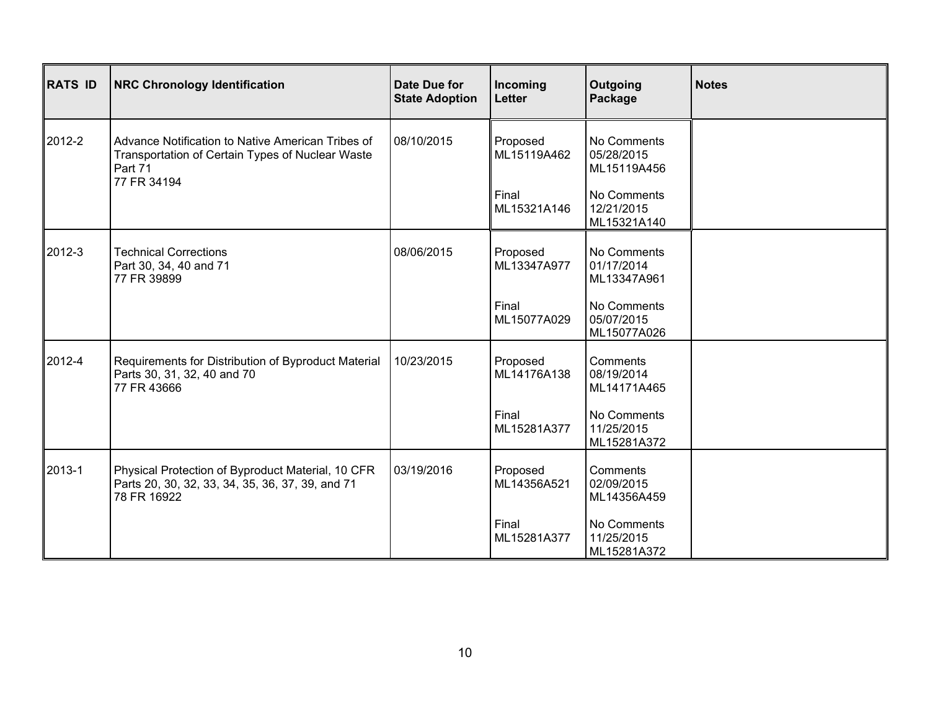| <b>RATS ID</b> | <b>NRC Chronology Identification</b>                                                                                            | Date Due for<br><b>State Adoption</b> | Incoming<br>Letter      | Outgoing<br>Package                      | <b>Notes</b> |
|----------------|---------------------------------------------------------------------------------------------------------------------------------|---------------------------------------|-------------------------|------------------------------------------|--------------|
| 2012-2         | Advance Notification to Native American Tribes of<br>Transportation of Certain Types of Nuclear Waste<br>Part 71<br>77 FR 34194 | 08/10/2015                            | Proposed<br>ML15119A462 | No Comments<br>05/28/2015<br>ML15119A456 |              |
|                |                                                                                                                                 |                                       | Final<br>ML15321A146    | No Comments<br>12/21/2015<br>ML15321A140 |              |
| 2012-3         | <b>Technical Corrections</b><br>Part 30, 34, 40 and 71<br>77 FR 39899                                                           | 08/06/2015                            | Proposed<br>ML13347A977 | No Comments<br>01/17/2014<br>ML13347A961 |              |
|                |                                                                                                                                 |                                       | Final<br>ML15077A029    | No Comments<br>05/07/2015<br>ML15077A026 |              |
| 2012-4         | Requirements for Distribution of Byproduct Material<br>Parts 30, 31, 32, 40 and 70<br>77 FR 43666                               | 10/23/2015                            | Proposed<br>ML14176A138 | Comments<br>08/19/2014<br>ML14171A465    |              |
|                |                                                                                                                                 |                                       | Final<br>ML15281A377    | No Comments<br>11/25/2015<br>ML15281A372 |              |
| 2013-1         | Physical Protection of Byproduct Material, 10 CFR<br>Parts 20, 30, 32, 33, 34, 35, 36, 37, 39, and 71<br>78 FR 16922            | 03/19/2016                            | Proposed<br>ML14356A521 | Comments<br>02/09/2015<br>ML14356A459    |              |
|                |                                                                                                                                 |                                       | Final<br>ML15281A377    | No Comments<br>11/25/2015<br>ML15281A372 |              |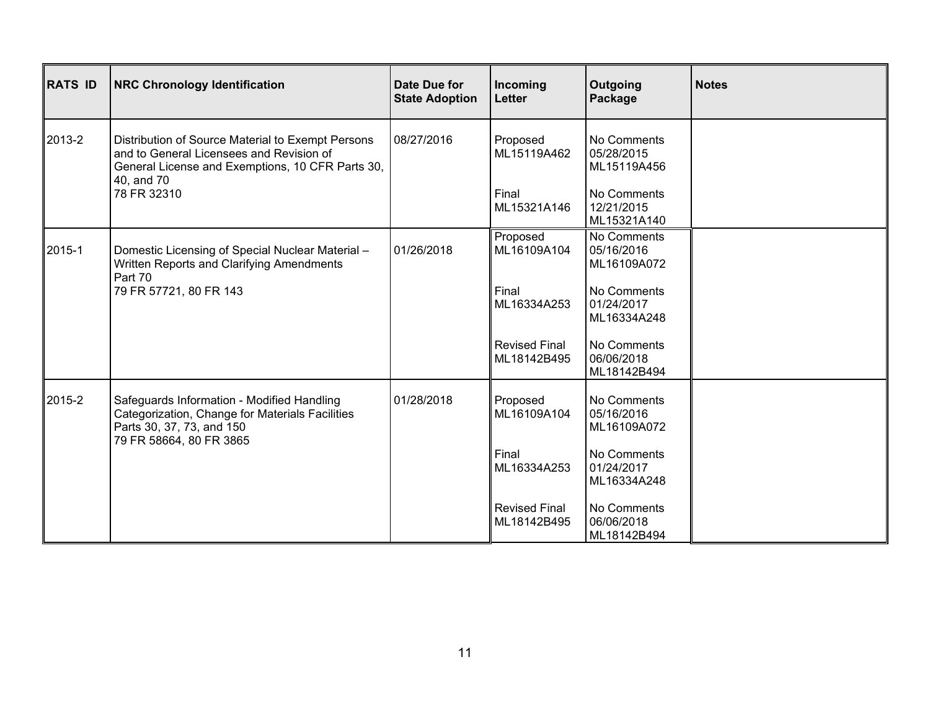| <b>RATS ID</b> | <b>NRC Chronology Identification</b>                                                                                                                                           | Date Due for<br><b>State Adoption</b> | Incoming<br>Letter                  | Outgoing<br>Package                      | <b>Notes</b> |
|----------------|--------------------------------------------------------------------------------------------------------------------------------------------------------------------------------|---------------------------------------|-------------------------------------|------------------------------------------|--------------|
| 2013-2         | Distribution of Source Material to Exempt Persons<br>and to General Licensees and Revision of<br>General License and Exemptions, 10 CFR Parts 30,<br>40, and 70<br>78 FR 32310 | 08/27/2016                            | Proposed<br>ML15119A462             | No Comments<br>05/28/2015<br>ML15119A456 |              |
|                |                                                                                                                                                                                |                                       | Final<br>ML15321A146                | No Comments<br>12/21/2015<br>ML15321A140 |              |
| 2015-1         | Domestic Licensing of Special Nuclear Material -<br>Written Reports and Clarifying Amendments<br>Part 70<br>79 FR 57721, 80 FR 143                                             | 01/26/2018                            | Proposed<br>ML16109A104             | No Comments<br>05/16/2016<br>ML16109A072 |              |
|                |                                                                                                                                                                                |                                       | Final<br>ML16334A253                | No Comments<br>01/24/2017<br>ML16334A248 |              |
|                |                                                                                                                                                                                |                                       | <b>Revised Final</b><br>ML18142B495 | No Comments<br>06/06/2018<br>ML18142B494 |              |
| 2015-2         | Safeguards Information - Modified Handling<br>Categorization, Change for Materials Facilities<br>Parts 30, 37, 73, and 150                                                     | 01/28/2018                            | Proposed<br>ML16109A104             | No Comments<br>05/16/2016<br>ML16109A072 |              |
|                | 79 FR 58664, 80 FR 3865                                                                                                                                                        |                                       | Final<br>ML16334A253                | No Comments<br>01/24/2017<br>ML16334A248 |              |
|                |                                                                                                                                                                                |                                       | <b>Revised Final</b><br>ML18142B495 | No Comments<br>06/06/2018<br>ML18142B494 |              |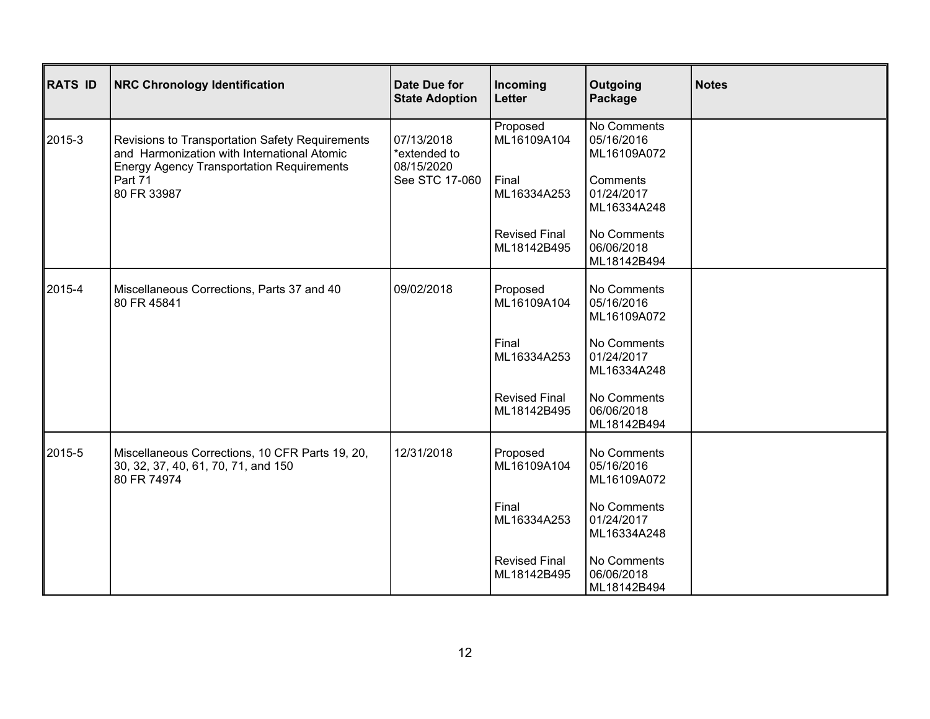| <b>RATS ID</b> | <b>NRC Chronology Identification</b>                                                                                                                                         | Date Due for<br><b>State Adoption</b>                      | Incoming<br><b>Letter</b>           | Outgoing<br>Package                      | <b>Notes</b> |
|----------------|------------------------------------------------------------------------------------------------------------------------------------------------------------------------------|------------------------------------------------------------|-------------------------------------|------------------------------------------|--------------|
| 2015-3         | Revisions to Transportation Safety Requirements<br>and Harmonization with International Atomic<br><b>Energy Agency Transportation Requirements</b><br>Part 71<br>80 FR 33987 | 07/13/2018<br>*extended to<br>08/15/2020<br>See STC 17-060 | Proposed<br>ML16109A104             | No Comments<br>05/16/2016<br>ML16109A072 |              |
|                |                                                                                                                                                                              |                                                            | Final<br>ML16334A253                | Comments<br>01/24/2017<br>ML16334A248    |              |
|                |                                                                                                                                                                              |                                                            | <b>Revised Final</b><br>ML18142B495 | No Comments<br>06/06/2018<br>ML18142B494 |              |
| 2015-4         | Miscellaneous Corrections, Parts 37 and 40<br>80 FR 45841                                                                                                                    | 09/02/2018                                                 | Proposed<br>ML16109A104             | No Comments<br>05/16/2016<br>ML16109A072 |              |
|                |                                                                                                                                                                              |                                                            | Final<br>ML16334A253                | No Comments<br>01/24/2017<br>ML16334A248 |              |
|                |                                                                                                                                                                              |                                                            | <b>Revised Final</b><br>ML18142B495 | No Comments<br>06/06/2018<br>ML18142B494 |              |
| 2015-5         | Miscellaneous Corrections, 10 CFR Parts 19, 20,<br>30, 32, 37, 40, 61, 70, 71, and 150<br>80 FR 74974                                                                        | 12/31/2018                                                 | Proposed<br>ML16109A104             | No Comments<br>05/16/2016<br>ML16109A072 |              |
|                |                                                                                                                                                                              |                                                            | Final<br>ML16334A253                | No Comments<br>01/24/2017<br>ML16334A248 |              |
|                |                                                                                                                                                                              |                                                            | <b>Revised Final</b><br>ML18142B495 | No Comments<br>06/06/2018<br>ML18142B494 |              |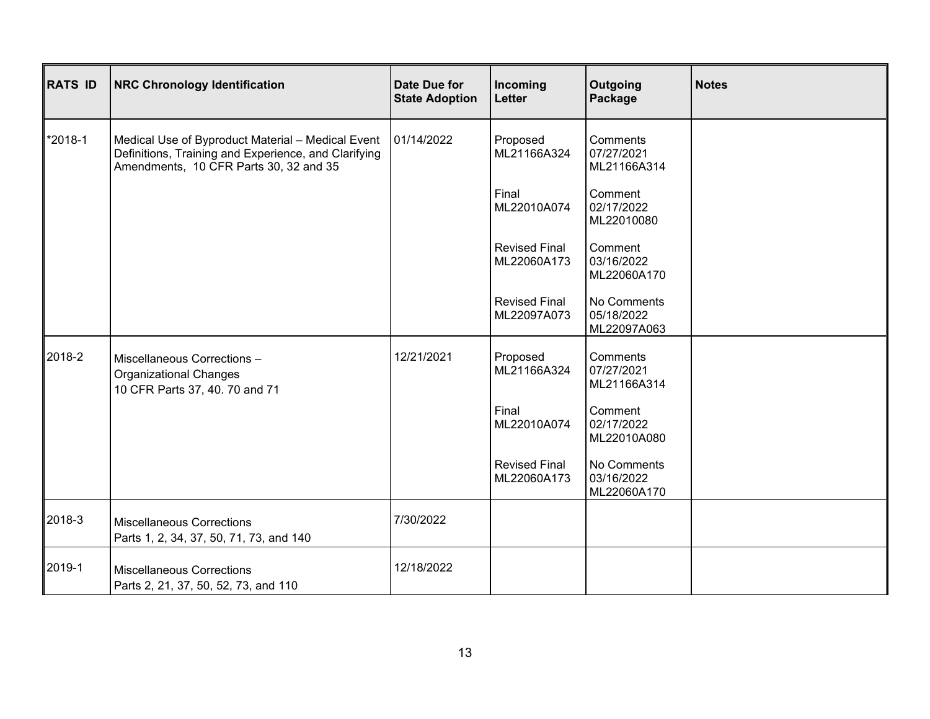| <b>RATS ID</b> | <b>NRC Chronology Identification</b>                                                                                                                | Date Due for<br><b>State Adoption</b> | Incoming<br><b>Letter</b>           | Outgoing<br>Package                      | <b>Notes</b> |
|----------------|-----------------------------------------------------------------------------------------------------------------------------------------------------|---------------------------------------|-------------------------------------|------------------------------------------|--------------|
| *2018-1        | Medical Use of Byproduct Material - Medical Event<br>Definitions, Training and Experience, and Clarifying<br>Amendments, 10 CFR Parts 30, 32 and 35 | 01/14/2022                            | Proposed<br>ML21166A324             | Comments<br>07/27/2021<br>ML21166A314    |              |
|                |                                                                                                                                                     |                                       | Final<br>ML22010A074                | Comment<br>02/17/2022<br>ML22010080      |              |
|                |                                                                                                                                                     |                                       | <b>Revised Final</b><br>ML22060A173 | Comment<br>03/16/2022<br>ML22060A170     |              |
|                |                                                                                                                                                     |                                       | <b>Revised Final</b><br>ML22097A073 | No Comments<br>05/18/2022<br>ML22097A063 |              |
| 2018-2         | Miscellaneous Corrections -<br><b>Organizational Changes</b><br>10 CFR Parts 37, 40. 70 and 71                                                      | 12/21/2021                            | Proposed<br>ML21166A324             | Comments<br>07/27/2021<br>ML21166A314    |              |
|                |                                                                                                                                                     |                                       | Final<br>ML22010A074                | Comment<br>02/17/2022<br>ML22010A080     |              |
|                |                                                                                                                                                     |                                       | <b>Revised Final</b><br>ML22060A173 | No Comments<br>03/16/2022<br>ML22060A170 |              |
| 2018-3         | <b>Miscellaneous Corrections</b><br>Parts 1, 2, 34, 37, 50, 71, 73, and 140                                                                         | 7/30/2022                             |                                     |                                          |              |
| 2019-1         | <b>Miscellaneous Corrections</b><br>Parts 2, 21, 37, 50, 52, 73, and 110                                                                            | 12/18/2022                            |                                     |                                          |              |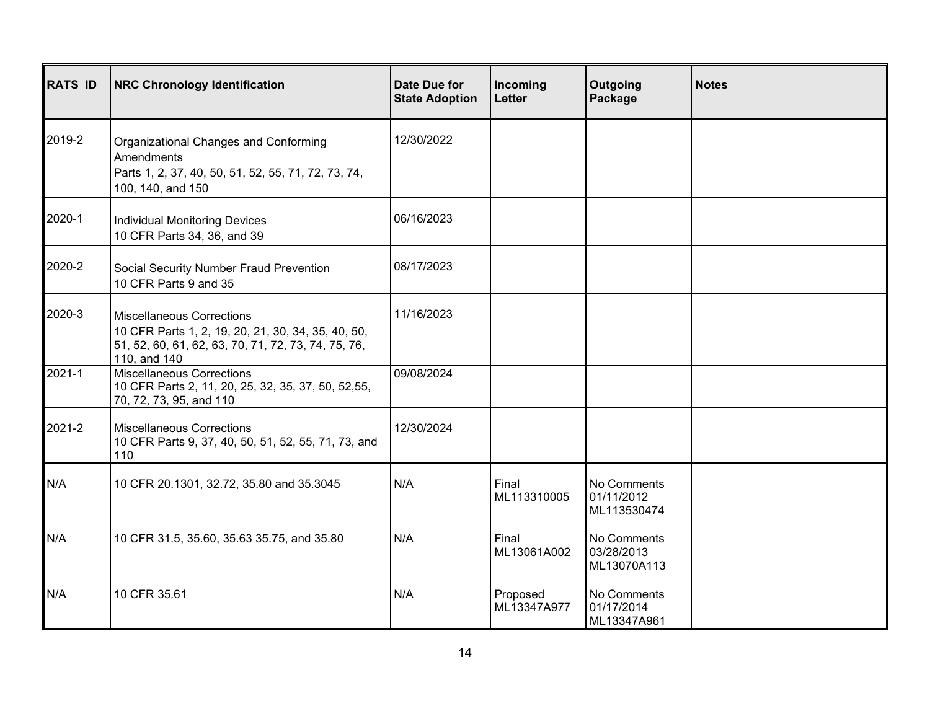| <b>RATS ID</b> | <b>NRC Chronology Identification</b>                                                                                                                          | <b>Date Due for</b><br><b>State Adoption</b> | Incoming<br>Letter      | Outgoing<br>Package                      | <b>Notes</b> |
|----------------|---------------------------------------------------------------------------------------------------------------------------------------------------------------|----------------------------------------------|-------------------------|------------------------------------------|--------------|
| 2019-2         | Organizational Changes and Conforming<br>Amendments<br>Parts 1, 2, 37, 40, 50, 51, 52, 55, 71, 72, 73, 74,<br>100, 140, and 150                               | 12/30/2022                                   |                         |                                          |              |
| 2020-1         | <b>Individual Monitoring Devices</b><br>10 CFR Parts 34, 36, and 39                                                                                           | 06/16/2023                                   |                         |                                          |              |
| 2020-2         | Social Security Number Fraud Prevention<br>10 CFR Parts 9 and 35                                                                                              | 08/17/2023                                   |                         |                                          |              |
| 2020-3         | <b>Miscellaneous Corrections</b><br>10 CFR Parts 1, 2, 19, 20, 21, 30, 34, 35, 40, 50,<br>51, 52, 60, 61, 62, 63, 70, 71, 72, 73, 74, 75, 76,<br>110, and 140 | 11/16/2023                                   |                         |                                          |              |
| $2021 - 1$     | <b>Miscellaneous Corrections</b><br>10 CFR Parts 2, 11, 20, 25, 32, 35, 37, 50, 52,55,<br>70, 72, 73, 95, and 110                                             | 09/08/2024                                   |                         |                                          |              |
| 2021-2         | <b>Miscellaneous Corrections</b><br>10 CFR Parts 9, 37, 40, 50, 51, 52, 55, 71, 73, and<br>110                                                                | 12/30/2024                                   |                         |                                          |              |
| N/A            | 10 CFR 20.1301, 32.72, 35.80 and 35.3045                                                                                                                      | N/A                                          | Final<br>ML113310005    | No Comments<br>01/11/2012<br>ML113530474 |              |
| N/A            | 10 CFR 31.5, 35.60, 35.63 35.75, and 35.80                                                                                                                    | N/A                                          | Final<br>ML13061A002    | No Comments<br>03/28/2013<br>ML13070A113 |              |
| N/A            | 10 CFR 35.61                                                                                                                                                  | N/A                                          | Proposed<br>ML13347A977 | No Comments<br>01/17/2014<br>ML13347A961 |              |